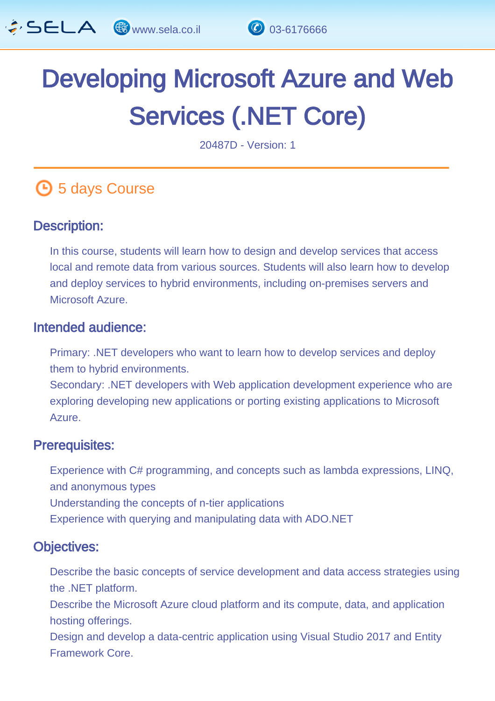

# Developing Microsoft Azure and Web Services (.NET Core) l,

20487D - Version: 1

## **6** 5 days Course

#### Description: Ĩ

In this course, students will learn how to design and develop services that access local and remote data from various sources. Students will also learn how to develop and deploy services to hybrid environments, including on-premises servers and Microsoft Azure.

#### Intended audience: Ï

Primary: .NET developers who want to learn how to develop services and deploy them to hybrid environments.

Secondary: .NET developers with Web application development experience who are exploring developing new applications or porting existing applications to Microsoft Azure.

#### Prerequisites: L,

Experience with C# programming, and concepts such as lambda expressions, LINQ, and anonymous types Understanding the concepts of n-tier applications Experience with querying and manipulating data with ADO.NET

#### Objectives: Ĭ

Describe the basic concepts of service development and data access strategies using the .NET platform.

Describe the Microsoft Azure cloud platform and its compute, data, and application hosting offerings.

Design and develop a data-centric application using Visual Studio 2017 and Entity Framework Core.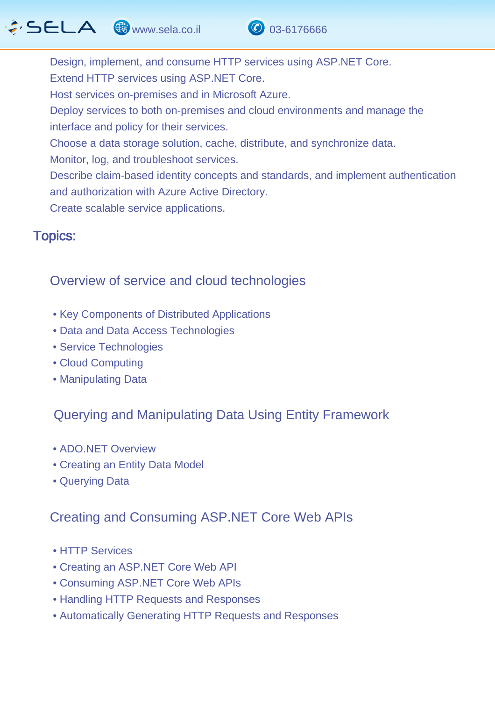## $\cdot$  SELA  $\circledast$  www.sela.co.il  $\circledcirc$  03-6176666



Design, implement, and consume HTTP services using ASP.NET Core. Extend HTTP services using ASP.NET Core. Host services on-premises and in Microsoft Azure. Deploy services to both on-premises and cloud environments and manage the interface and policy for their services. Choose a data storage solution, cache, distribute, and synchronize data. Monitor, log, and troubleshoot services. Describe claim-based identity concepts and standards, and implement authentication and authorization with Azure Active Directory. Create scalable service applications.

#### Topics: J.

### Overview of service and cloud technologies

- Key Components of Distributed Applications
- Data and Data Access Technologies
- Service Technologies
- Cloud Computing
- Manipulating Data

### Querying and Manipulating Data Using Entity Framework

- ADO.NET Overview
- Creating an Entity Data Model
- Querying Data

### Creating and Consuming ASP.NET Core Web APIs

- HTTP Services
- Creating an ASP.NET Core Web API
- Consuming ASP.NET Core Web APIs
- Handling HTTP Requests and Responses
- Automatically Generating HTTP Requests and Responses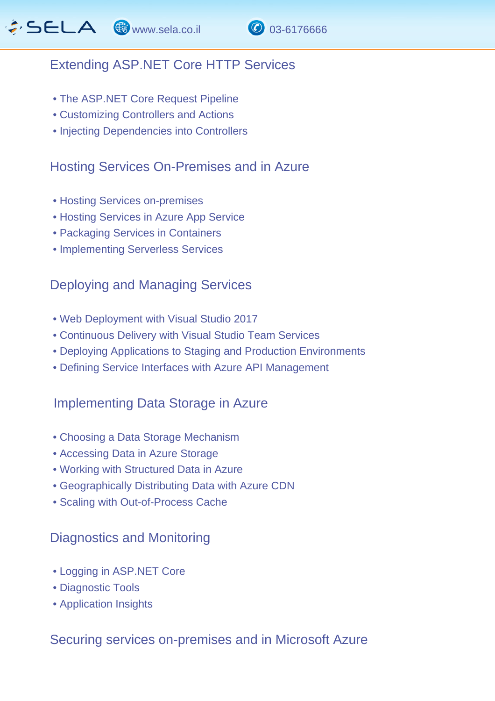### Extending ASP.NET Core HTTP Services

- The ASP.NET Core Request Pipeline
- Customizing Controllers and Actions
- Injecting Dependencies into Controllers

#### Hosting Services On-Premises and in Azure

- Hosting Services on-premises
- Hosting Services in Azure App Service
- Packaging Services in Containers
- Implementing Serverless Services

#### Deploying and Managing Services

- Web Deployment with Visual Studio 2017
- Continuous Delivery with Visual Studio Team Services
- Deploying Applications to Staging and Production Environments
- Defining Service Interfaces with Azure API Management

#### Implementing Data Storage in Azure

- Choosing a Data Storage Mechanism
- Accessing Data in Azure Storage
- Working with Structured Data in Azure
- Geographically Distributing Data with Azure CDN
- Scaling with Out-of-Process Cache

#### Diagnostics and Monitoring

- Logging in ASP.NET Core
- Diagnostic Tools
- Application Insights

#### Securing services on-premises and in Microsoft Azure